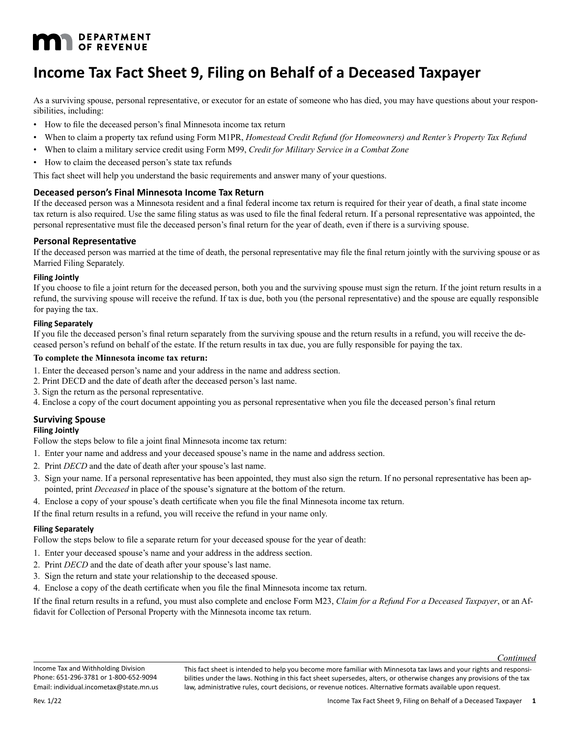# **MAN** DEPARTMENT

# **Income Tax Fact Sheet 9, Filing on Behalf of a Deceased Taxpayer**

As a surviving spouse, personal representative, or executor for an estate of someone who has died, you may have questions about your responsibilities, including:

- How to file the deceased person's final Minnesota income tax return
- When to claim a property tax refund using Form M1PR, *Homestead Credit Refund (for Homeowners) and Renter's Property Tax Refund*
- • When to claim a military service credit using Form M99, *Credit for Military Service in a Combat Zone*
- How to claim the deceased person's state tax refunds

This fact sheet will help you understand the basic requirements and answer many of your questions.

# **Deceased person's Final Minnesota Income Tax Return**

If the deceased person was a Minnesota resident and a final federal income tax return is required for their year of death, a final state income tax return is also required. Use the same filing status as was used to file the final federal return. If a personal representative was appointed, the personal representative must file the deceased person's final return for the year of death, even if there is a surviving spouse.

# **Personal Representative**

If the deceased person was married at the time of death, the personal representative may file the final return jointly with the surviving spouse or as Married Filing Separately.

#### **Filing Jointly**

If you choose to file a joint return for the deceased person, both you and the surviving spouse must sign the return. If the joint return results in a refund, the surviving spouse will receive the refund. If tax is due, both you (the personal representative) and the spouse are equally responsible for paying the tax.

#### **Filing Separately**

If you file the deceased person's final return separately from the surviving spouse and the return results in a refund, you will receive the deceased person's refund on behalf of the estate. If the return results in tax due, you are fully responsible for paying the tax.

#### **To complete the Minnesota income tax return:**

- 1. Enter the deceased person's name and your address in the name and address section.
- 2. Print DECD and the date of death after the deceased person's last name.
- 3. Sign the return as the personal representative.
- 4. Enclose a copy of the court document appointing you as personal representative when you file the deceased person's final return

# **Surviving Spouse**

# **Filing Jointly**

Follow the steps below to file a joint final Minnesota income tax return:

- 1. Enter your name and address and your deceased spouse's name in the name and address section.
- 2. Print *DECD* and the date of death after your spouse's last name.
- 3. Sign your name. If a personal representative has been appointed, they must also sign the return. If no personal representative has been appointed, print *Deceased* in place of the spouse's signature at the bottom of the return.
- 4. Enclose a copy of your spouse's death certificate when you file the final Minnesota income tax return.

If the final return results in a refund, you will receive the refund in your name only.

#### **Filing Separately**

Follow the steps below to file a separate return for your deceased spouse for the year of death:

- 1. Enter your deceased spouse's name and your address in the address section.
- 2. Print *DECD* and the date of death after your spouse's last name.
- 3. Sign the return and state your relationship to the deceased spouse.
- 4. Enclose a copy of the death certificate when you file the final Minnesota income tax return.

If the final return results in a refund, you must also complete and enclose Form M23, *Claim for a Refund For a Deceased Taxpayer*, or an Affidavit for Collection of Personal Property with the Minnesota income tax return.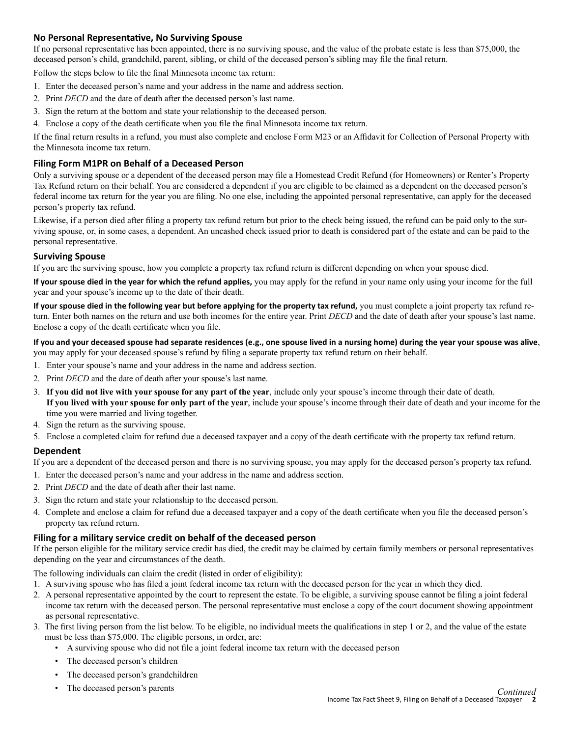# **No Personal Representative, No Surviving Spouse**

If no personal representative has been appointed, there is no surviving spouse, and the value of the probate estate is less than \$75,000, the deceased person's child, grandchild, parent, sibling, or child of the deceased person's sibling may file the final return.

Follow the steps below to file the final Minnesota income tax return:

- 1. Enter the deceased person's name and your address in the name and address section.
- 2. Print *DECD* and the date of death after the deceased person's last name.
- 3. Sign the return at the bottom and state your relationship to the deceased person.
- 4. Enclose a copy of the death certificate when you file the final Minnesota income tax return.

If the final return results in a refund, you must also complete and enclose Form M23 or an Affidavit for Collection of Personal Property with the Minnesota income tax return.

# **Filing Form M1PR on Behalf of a Deceased Person**

Only a surviving spouse or a dependent of the deceased person may file a Homestead Credit Refund (for Homeowners) or Renter's Property Tax Refund return on their behalf. You are considered a dependent if you are eligible to be claimed as a dependent on the deceased person's federal income tax return for the year you are filing. No one else, including the appointed personal representative, can apply for the deceased person's property tax refund.

Likewise, if a person died after filing a property tax refund return but prior to the check being issued, the refund can be paid only to the surviving spouse, or, in some cases, a dependent. An uncashed check issued prior to death is considered part of the estate and can be paid to the personal representative.

# **Surviving Spouse**

If you are the surviving spouse, how you complete a property tax refund return is different depending on when your spouse died.

**If your spouse died in the year for which the refund applies,** you may apply for the refund in your name only using your income for the full year and your spouse's income up to the date of their death.

**If your spouse died in the following year but before applying for the property tax refund,** you must complete a joint property tax refund return. Enter both names on the return and use both incomes for the entire year. Print *DECD* and the date of death after your spouse's last name. Enclose a copy of the death certificate when you file.

**If you and your deceased spouse had separate residences (e.g., one spouse lived in a nursing home) during the year your spouse was alive**, you may apply for your deceased spouse's refund by filing a separate property tax refund return on their behalf.

- 1. Enter your spouse's name and your address in the name and address section.
- 2. Print *DECD* and the date of death after your spouse's last name.
- 3. **If you did not live with your spouse for any part of the year**, include only your spouse's income through their date of death. **If you lived with your spouse for only part of the year**, include your spouse's income through their date of death and your income for the time you were married and living together.
- 4. Sign the return as the surviving spouse.
- 5. Enclose a completed claim for refund due a deceased taxpayer and a copy of the death certificate with the property tax refund return.

# **Dependent**

If you are a dependent of the deceased person and there is no surviving spouse, you may apply for the deceased person's property tax refund.

- 1. Enter the deceased person's name and your address in the name and address section.
- 2. Print *DECD* and the date of death after their last name.
- 3. Sign the return and state your relationship to the deceased person.
- 4. Complete and enclose a claim for refund due a deceased taxpayer and a copy of the death certificate when you file the deceased person's property tax refund return.

#### **Filing for a military service credit on behalf of the deceased person**

If the person eligible for the military service credit has died, the credit may be claimed by certain family members or personal representatives depending on the year and circumstances of the death.

The following individuals can claim the credit (listed in order of eligibility):

- 1. A surviving spouse who has filed a joint federal income tax return with the deceased person for the year in which they died.
- 2. A personal representative appointed by the court to represent the estate. To be eligible, a surviving spouse cannot be filing a joint federal income tax return with the deceased person. The personal representative must enclose a copy of the court document showing appointment as personal representative.
- 3. The first living person from the list below. To be eligible, no individual meets the qualifications in step 1 or 2, and the value of the estate must be less than \$75,000. The eligible persons, in order, are:
	- • A surviving spouse who did not file a joint federal income tax return with the deceased person
	- The deceased person's children
	- • The deceased person's grandchildren
	-